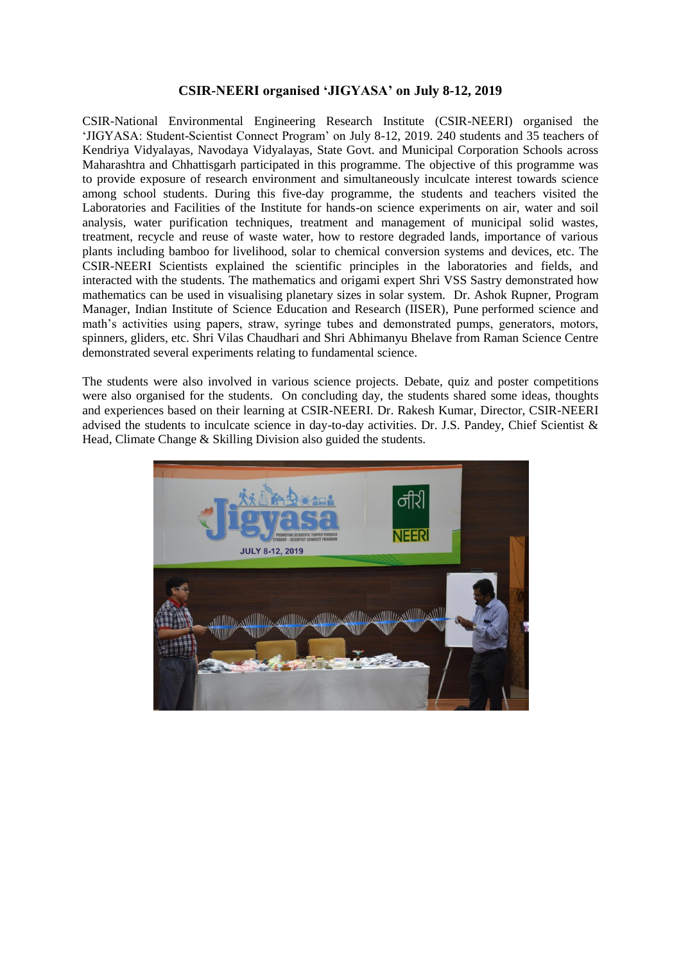## **CSIR-NEERI organised 'JIGYASA' on July 8-12, 2019**

CSIR-National Environmental Engineering Research Institute (CSIR-NEERI) organised the 'JIGYASA: Student-Scientist Connect Program' on July 8-12, 2019. 240 students and 35 teachers of Kendriya Vidyalayas, Navodaya Vidyalayas, State Govt. and Municipal Corporation Schools across Maharashtra and Chhattisgarh participated in this programme. The objective of this programme was to provide exposure of research environment and simultaneously inculcate interest towards science among school students. During this five-day programme, the students and teachers visited the Laboratories and Facilities of the Institute for hands-on science experiments on air, water and soil analysis, water purification techniques, treatment and management of municipal solid wastes, treatment, recycle and reuse of waste water, how to restore degraded lands, importance of various plants including bamboo for livelihood, solar to chemical conversion systems and devices, etc. The CSIR-NEERI Scientists explained the scientific principles in the laboratories and fields, and interacted with the students. The mathematics and origami expert Shri VSS Sastry demonstrated how mathematics can be used in visualising planetary sizes in solar system. Dr. Ashok Rupner, Program Manager, Indian Institute of Science Education and Research (IISER), Pune performed science and math's activities using papers, straw, syringe tubes and demonstrated pumps, generators, motors, spinners, gliders, etc. Shri Vilas Chaudhari and Shri Abhimanyu Bhelave from Raman Science Centre demonstrated several experiments relating to fundamental science.

The students were also involved in various science projects. Debate, quiz and poster competitions were also organised for the students. On concluding day, the students shared some ideas, thoughts and experiences based on their learning at CSIR-NEERI. Dr. Rakesh Kumar, Director, CSIR-NEERI advised the students to inculcate science in day-to-day activities. Dr. J.S. Pandey, Chief Scientist & Head, Climate Change & Skilling Division also guided the students.

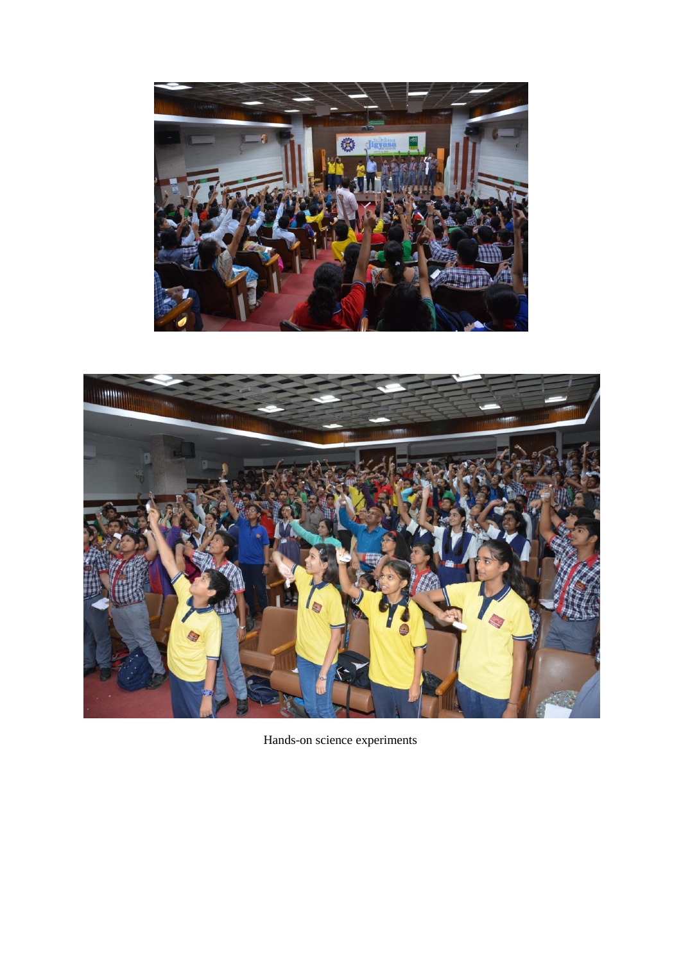



Hands-on science experiments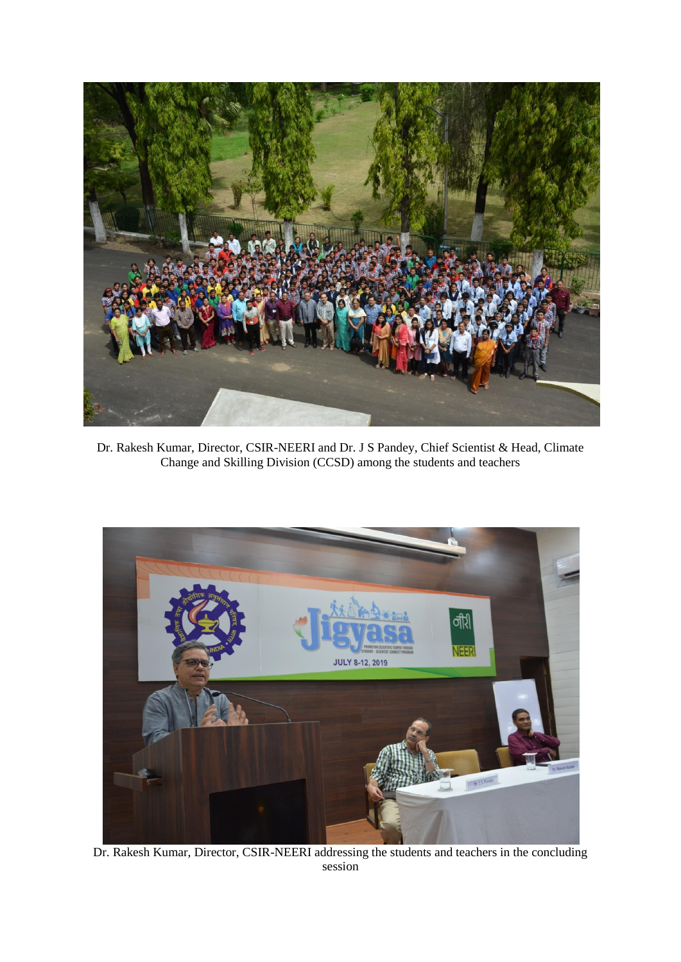

Dr. Rakesh Kumar, Director, CSIR-NEERI and Dr. J S Pandey, Chief Scientist & Head, Climate Change and Skilling Division (CCSD) among the students and teachers



Dr. Rakesh Kumar, Director, CSIR-NEERI addressing the students and teachers in the concluding session